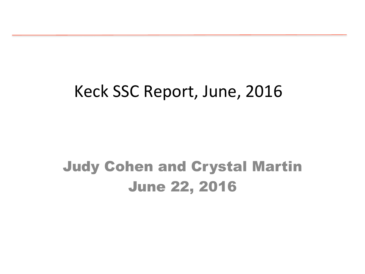#### Keck SSC Report, June, 2016

#### Judy Cohen and Crystal Martin June 22, 2016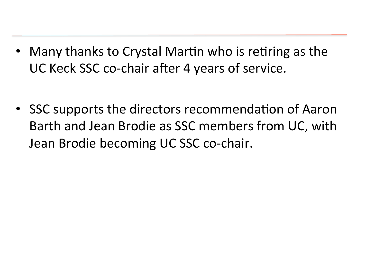- Many thanks to Crystal Martin who is retiring as the UC Keck SSC co-chair after 4 years of service.
- SSC supports the directors recommendation of Aaron Barth and Jean Brodie as SSC members from UC, with Jean Brodie becoming UC SSC co-chair.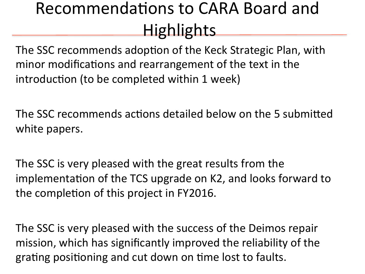#### Recommendations to CARA Board and Highlights

The SSC recommends adoption of the Keck Strategic Plan, with minor modifications and rearrangement of the text in the introduction (to be completed within 1 week)

The SSC recommends actions detailed below on the 5 submitted white papers.

The SSC is very pleased with the great results from the implementation of the TCS upgrade on K2, and looks forward to the completion of this project in FY2016.

The SSC is very pleased with the success of the Deimos repair mission, which has significantly improved the reliability of the grating positioning and cut down on time lost to faults.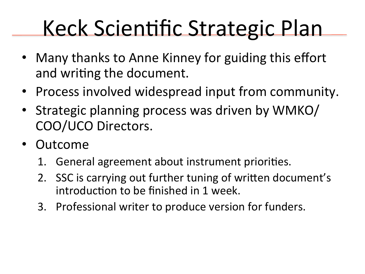# Keck Scientific Strategic Plan

- Many thanks to Anne Kinney for guiding this effort and writing the document.
- Process involved widespread input from community.
- Strategic planning process was driven by WMKO/ COO/UCO Directors.
- Outcome
	- 1. General agreement about instrument priorities.
	- 2. SSC is carrying out further tuning of written document's introduction to be finished in 1 week.
	- 3. Professional writer to produce version for funders.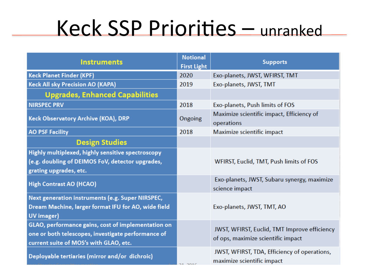## Keck SSP Priorities - unranked

| <b>Instruments</b>                                                                                                                                 | <b>Notional</b><br><b>First Light</b> | <b>Supports</b>                                                                    |
|----------------------------------------------------------------------------------------------------------------------------------------------------|---------------------------------------|------------------------------------------------------------------------------------|
| <b>Keck Planet Finder (KPF)</b>                                                                                                                    | 2020                                  | Exo-planets, JWST, WFIRST, TMT                                                     |
| <b>Keck All sky Precision AO (KAPA)</b>                                                                                                            | 2019                                  | Exo-planets, JWST, TMT                                                             |
| <b>Upgrades, Enhanced Capabilities</b>                                                                                                             |                                       |                                                                                    |
| <b>NIRSPEC PRV</b>                                                                                                                                 | 2018                                  | Exo-planets, Push limits of FOS                                                    |
| Keck Observatory Archive (KOA), DRP                                                                                                                | Ongoing                               | Maximize scientific impact, Efficiency of<br>operations                            |
| <b>AO PSF Facility</b>                                                                                                                             | 2018                                  | Maximize scientific impact                                                         |
| <b>Design Studies</b>                                                                                                                              |                                       |                                                                                    |
| Highly multiplexed, highly sensitive spectroscopy<br>(e.g. doubling of DEIMOS FoV, detector upgrades,<br>grating upgrades, etc.                    |                                       | WFIRST, Euclid, TMT, Push limits of FOS                                            |
| <b>High Contrast AO (HCAO)</b>                                                                                                                     |                                       | Exo-planets, JWST, Subaru synergy, maximize<br>science impact                      |
| Next generation instruments (e.g. Super NIRSPEC,<br>Dream Machine, larger format IFU for AO, wide field<br>UV imager)                              |                                       | Exo-planets, JWST, TMT, AO                                                         |
| GLAO, performance gains, cost of implementation on<br>one or both telescopes, investigate performance of<br>current suite of MOS's with GLAO, etc. |                                       | JWST, WFIRST, Euclid, TMT Improve efficiency<br>of ops, maximize scientific impact |
| Deployable tertiaries (mirror and/or dichroic)                                                                                                     | 34.3040                               | JWST, WFIRST, TDA, Efficiency of operations,<br>maximize scientific impact         |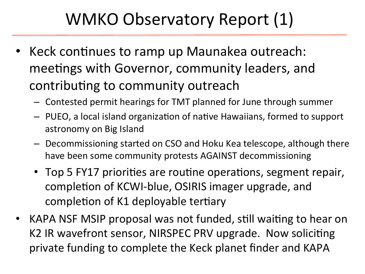### WMKO Observatory Report (1)

- Keck continues to ramp up Maunakea outreach: meetings with Governor, community leaders, and contributing to community outreach
	- $-$  Contested permit hearings for TMT planned for June through summer
	- $-$  PUEO, a local island organization of native Hawaiians, formed to support astronomy on Big Island
	- $-$  Decommissioning started on CSO and Hoku Kea telescope, although there have been some community protests AGAINST decommissioning
	- Top 5 FY17 priorities are routine operations, segment repair, completion of KCWI-blue, OSIRIS imager upgrade, and completion of K1 deployable tertiary
- KAPA NSF MSIP proposal was not funded, still waiting to hear on K2 IR wavefront sensor, NIRSPEC PRV upgrade. Now soliciting private funding to complete the Keck planet finder and KAPA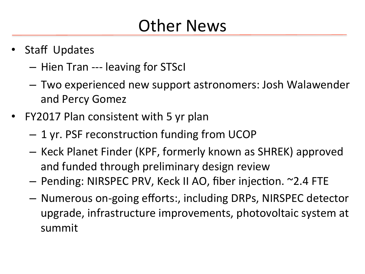### **Other News**

- **Staff Updates** 
	- $-$  Hien Tran --- leaving for STScl
	- $-$  Two experienced new support astronomers: Josh Walawender and Percy Gomez
- FY2017 Plan consistent with 5 yr plan
	- $-1$  yr. PSF reconstruction funding from UCOP
	- $-$  Keck Planet Finder (KPF, formerly known as SHREK) approved and funded through preliminary design review
	- Pending: NIRSPEC PRV, Keck II AO, fiber injection. ~2.4 FTE
	- $-$  Numerous on-going efforts:, including DRPs, NIRSPEC detector upgrade, infrastructure improvements, photovoltaic system at summit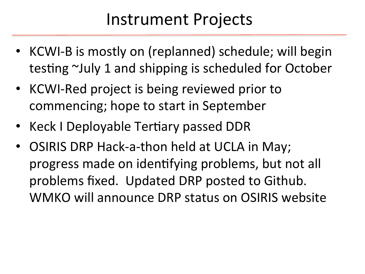#### Instrument Projects

- KCWI-B is mostly on (replanned) schedule; will begin testing  $\sim$ July 1 and shipping is scheduled for October
- KCWI-Red project is being reviewed prior to commencing; hope to start in September
- Keck I Deployable Tertiary passed DDR
- OSIRIS DRP Hack-a-thon held at UCLA in May; progress made on identifying problems, but not all problems fixed. Updated DRP posted to Github. WMKO will announce DRP status on OSIRIS website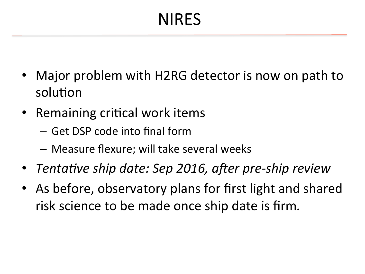### NIRES

- Major problem with H2RG detector is now on path to solution
- Remaining critical work items
	- Get DSP code into final form
	- $-$  Measure flexure; will take several weeks
- *Tentative ship date: Sep 2016, after pre-ship review*
- As before, observatory plans for first light and shared risk science to be made once ship date is firm.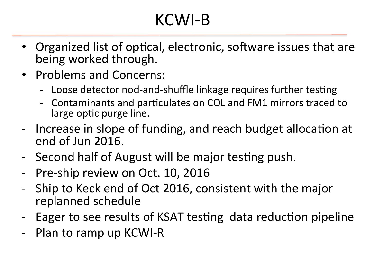### KCWI-B

- Organized list of optical, electronic, software issues that are being worked through.
- Problems and Concerns:
	- Loose detector nod-and-shuffle linkage requires further testing
	- Contaminants and particulates on COL and FM1 mirrors traced to large optic purge line.
- Increase in slope of funding, and reach budget allocation at end of Jun 2016.
- Second half of August will be major testing push.
- Pre-ship review on Oct. 10, 2016
- Ship to Keck end of Oct 2016, consistent with the major replanned schedule
- Eager to see results of KSAT testing data reduction pipeline
- Plan to ramp up KCWI-R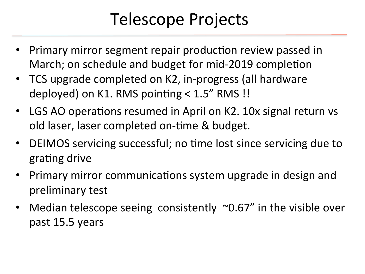#### Telescope Projects

- Primary mirror segment repair production review passed in March; on schedule and budget for mid-2019 completion
- TCS upgrade completed on K2, in-progress (all hardware deployed) on K1. RMS pointing  $< 1.5$ " RMS !!
- LGS AO operations resumed in April on K2. 10x signal return vs old laser, laser completed on-time & budget.
- DEIMOS servicing successful; no time lost since servicing due to grating drive
- Primary mirror communications system upgrade in design and preliminary test
- Median telescope seeing consistently  $\sim$ 0.67" in the visible over past 15.5 years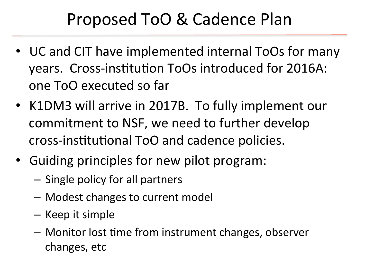#### Proposed ToO & Cadence Plan

- UC and CIT have implemented internal ToOs for many years. Cross-institution ToOs introduced for 2016A: one ToO executed so far
- K1DM3 will arrive in 2017B. To fully implement our commitment to NSF, we need to further develop cross-institutional ToO and cadence policies.
- Guiding principles for new pilot program:
	- $-$  Single policy for all partners
	- $-$  Modest changes to current model
	- Keep it simple
	- $-$  Monitor lost time from instrument changes, observer changes, etc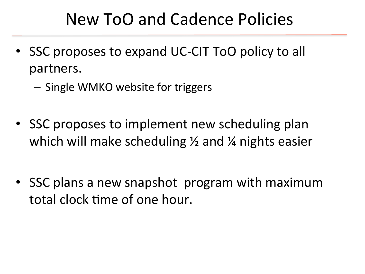#### New ToO and Cadence Policies

- SSC proposes to expand UC-CIT ToO policy to all partners.
	- Single WMKO website for triggers
- SSC proposes to implement new scheduling plan which will make scheduling  $\frac{1}{2}$  and  $\frac{1}{4}$  nights easier
- SSC plans a new snapshot program with maximum total clock time of one hour.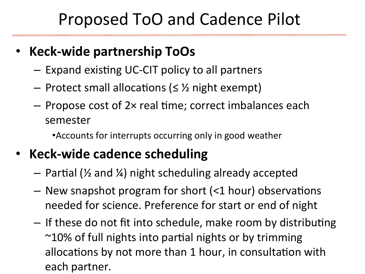#### Proposed ToO and Cadence Pilot

#### **Keck-wide partnership ToOs**

- $-$  Expand existing UC-CIT policy to all partners
- Protect small allocations ( $\leq$  % night exempt)
- $-$  Propose cost of 2 $\times$  real time; correct imbalances each semester

• Accounts for interrupts occurring only in good weather

#### **Keck-wide cadence scheduling**

- $-$  Partial ( $\frac{1}{2}$  and  $\frac{1}{4}$ ) night scheduling already accepted
- $-$  New snapshot program for short (<1 hour) observations needed for science. Preference for start or end of night
- If these do not fit into schedule, make room by distributing  $\sim$ 10% of full nights into partial nights or by trimming allocations by not more than 1 hour, in consultation with each partner.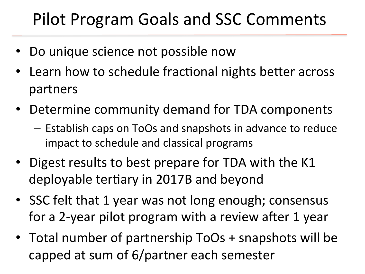#### Pilot Program Goals and SSC Comments

- Do unique science not possible now
- Learn how to schedule fractional nights better across partners
- Determine community demand for TDA components
	- $-$  Establish caps on ToOs and snapshots in advance to reduce impact to schedule and classical programs
- Digest results to best prepare for TDA with the K1 deployable tertiary in 2017B and beyond
- SSC felt that 1 year was not long enough; consensus for a 2-year pilot program with a review after 1 year
- Total number of partnership ToOs + snapshots will be capped at sum of 6/partner each semester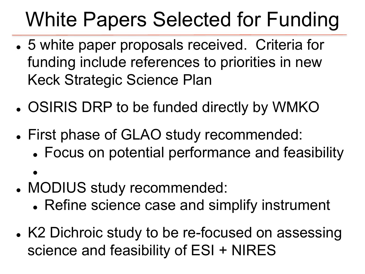# White Papers Selected for Funding

- 5 white paper proposals received. Criteria for funding include references to priorities in new Keck Strategic Science Plan
- . OSIRIS DRP to be funded directly by WMKO
- First phase of GLAO study recommended:
	- Focus on potential performance and feasibility
- $\bullet$ • MODIUS study recommended:
	- Refine science case and simplify instrument
- K2 Dichroic study to be re-focused on assessing science and feasibility of ESI + NIRES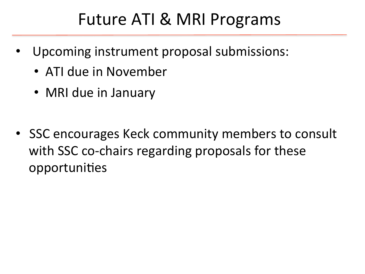#### Future ATI & MRI Programs

- Upcoming instrument proposal submissions:
	- ATI due in November
	- MRI due in January
- SSC encourages Keck community members to consult with SSC co-chairs regarding proposals for these opportunities